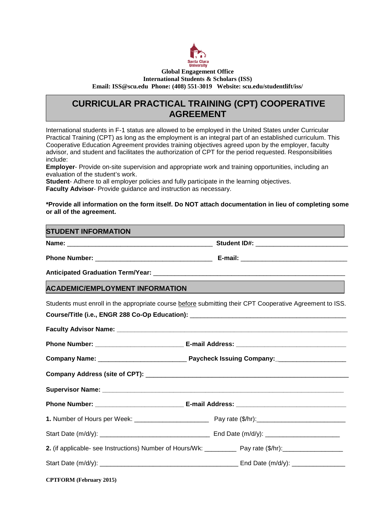

#### **Global Engagement Office International Students & Scholars (ISS) Email: ISS@scu.edu Phone: (408) 551-3019 Website: scu.edu/studentlift/iss/**

# **CURRICULAR PRACTICAL TRAINING (CPT) COOPERATIVE AGREEMENT**

International students in F-1 status are allowed to be employed in the United States under Curricular Practical Training (CPT) as long as the employment is an integral part of an established curriculum. This Cooperative Education Agreement provides training objectives agreed upon by the employer, faculty advisor, and student and facilitates the authorization of CPT for the period requested. Responsibilities include:

**Employer**- Provide on-site supervision and appropriate work and training opportunities, including an evaluation of the student's work.

**Student**- Adhere to all employer policies and fully participate in the learning objectives. **Faculty Advisor**- Provide guidance and instruction as necessary.

#### **\*Provide all information on the form itself. Do NOT attach documentation in lieu of completing some or all of the agreement.**

### **STUDENT INFORMATION**

**Name: Name: Name: Name: Name: Name: Student ID#: Student ID#: Name: Name: Name: Name: Name: Name: Name: Name: Name: Name: Name: Name: Name: Name: Name: Name: Name: Name:**

**Phone Number:** \_\_\_\_\_\_\_\_\_\_\_\_\_\_\_\_\_\_\_\_\_\_\_\_\_\_\_\_\_\_\_\_\_ **E-mail:** \_\_\_\_\_\_\_\_\_\_\_\_\_\_\_\_\_\_\_\_\_\_\_\_\_\_\_\_\_\_

**Anticipated Graduation Term/Year:** \_\_\_\_\_\_\_\_\_\_\_\_\_\_\_\_\_\_\_\_\_\_\_\_\_\_\_\_\_\_\_\_\_\_\_\_\_\_\_\_\_\_\_\_\_\_\_\_\_\_\_\_\_\_

## **ACADEMIC/EMPLOYMENT INFORMATION**

Students must enroll in the appropriate course before submitting their CPT Cooperative Agreement to ISS. Course/Title (i.e., ENGR 288 Co-Op Education): **Faculty Advisor Name: \_\_\_\_\_\_\_\_\_\_\_\_\_\_\_\_\_\_\_\_\_\_\_\_\_\_\_\_\_\_\_\_\_\_\_\_\_\_\_\_\_\_\_\_\_\_\_\_\_\_\_\_\_\_\_\_\_\_\_\_\_\_\_\_\_** Phone Number: **E-mail Address: E-mail Address: Company Name:** \_\_\_\_\_\_\_\_\_\_\_\_\_\_\_\_\_\_\_\_\_\_\_\_\_ **Paycheck Issuing Company:\_**\_\_\_\_\_\_\_\_\_\_\_\_\_\_\_\_\_\_\_ **Company Address (site of CPT):** \_\_\_\_\_\_\_\_\_\_\_\_\_\_\_\_\_\_\_\_\_\_\_\_\_\_\_\_\_\_\_\_\_\_\_\_\_\_\_\_\_\_\_\_\_\_\_\_\_\_\_\_ Supervisor Name: **Phone Number: \_\_\_\_\_\_\_\_\_\_\_\_\_\_\_\_\_\_\_\_\_\_\_\_\_ E-mail Address: \_\_\_\_\_\_\_\_\_\_\_\_\_\_\_\_\_\_\_\_\_\_\_\_\_\_\_\_\_\_\_ 1.** Number of Hours per Week: \_\_\_\_\_\_\_\_\_\_\_\_\_\_\_\_\_\_\_\_\_ Pay rate (\$/hr):\_\_\_\_\_\_\_\_\_\_\_\_\_\_\_\_\_\_\_\_\_\_\_\_\_ Start Date (m/d/y): \_\_\_\_\_\_\_\_\_\_\_\_\_\_\_\_\_\_\_\_\_\_\_\_\_\_\_\_\_\_\_ End Date (m/d/y): \_\_\_\_\_\_\_\_\_\_\_\_\_\_\_\_\_\_\_\_\_ **2.** (if applicable- see Instructions) Number of Hours/Wk: Pay rate (\$/hr): Start Date (m/d/y): \_\_\_\_\_\_\_\_\_\_\_\_\_\_\_\_\_\_\_\_\_\_\_\_\_\_\_\_\_\_\_\_\_\_\_\_\_\_\_ End Date (m/d/y): \_\_\_\_\_\_\_\_\_\_\_\_\_\_\_

| <b>CPTFORM</b> (February 2015) |  |  |
|--------------------------------|--|--|
|--------------------------------|--|--|